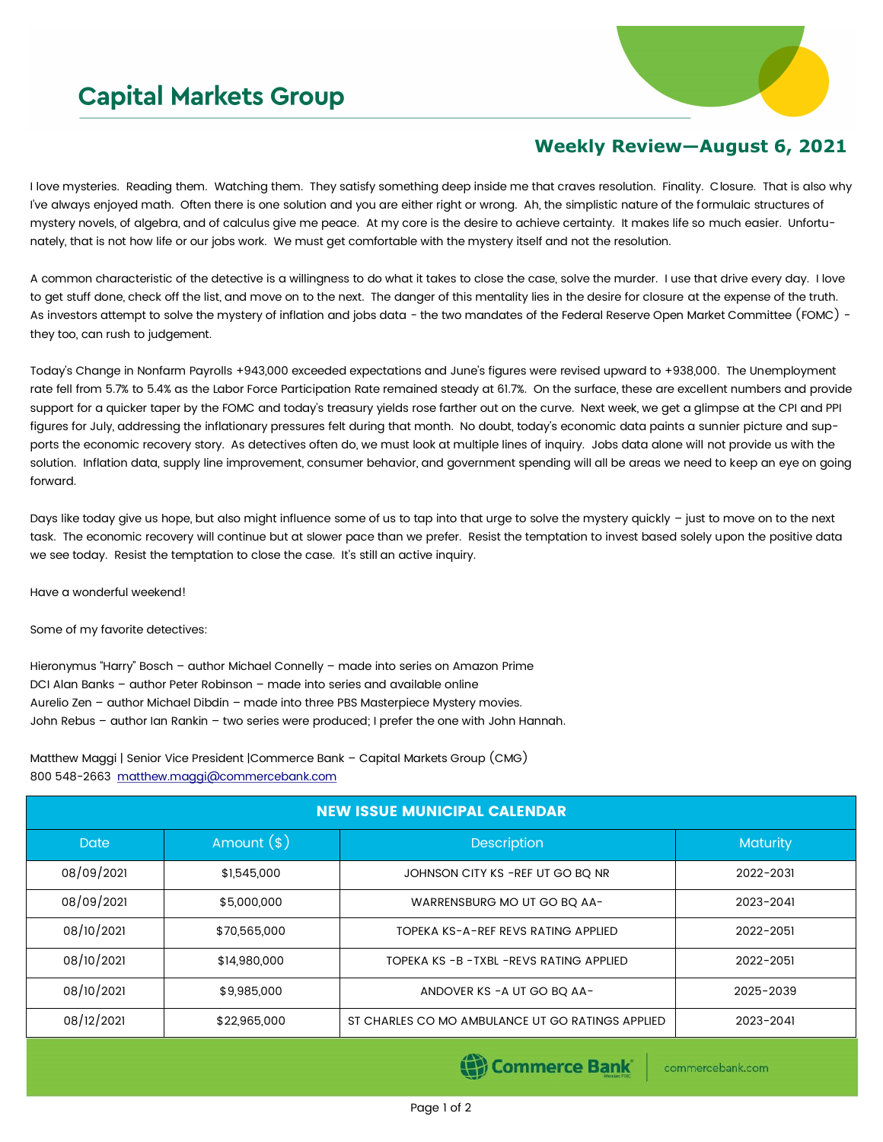## **Capital Markets Group**



## **Weekly Review—August 6, 2021**

I love mysteries. Reading them. Watching them. They satisfy something deep inside me that craves resolution. Finality. Closure. That is also why I've always enjoyed math. Often there is one solution and you are either right or wrong. Ah, the simplistic nature of the formulaic structures of mystery novels, of algebra, and of calculus give me peace. At my core is the desire to achieve certainty. It makes life so much easier. Unfortunately, that is not how life or our jobs work. We must get comfortable with the mystery itself and not the resolution.

A common characteristic of the detective is a willingness to do what it takes to close the case, solve the murder. I use that drive every day. I love to get stuff done, check off the list, and move on to the next. The danger of this mentality lies in the desire for closure at the expense of the truth. As investors attempt to solve the mystery of inflation and jobs data - the two mandates of the Federal Reserve Open Market Committee (FOMC) they too, can rush to judgement.

Today's Change in Nonfarm Payrolls +943,000 exceeded expectations and June's figures were revised upward to +938,000. The Unemployment rate fell from 5.7% to 5.4% as the Labor Force Participation Rate remained steady at 61.7%. On the surface, these are excellent numbers and provide support for a quicker taper by the FOMC and today's treasury yields rose farther out on the curve. Next week, we get a glimpse at the CPI and PPI figures for July, addressing the inflationary pressures felt during that month. No doubt, today's economic data paints a sunnier picture and supports the economic recovery story. As detectives often do, we must look at multiple lines of inquiry. Jobs data alone will not provide us with the solution. Inflation data, supply line improvement, consumer behavior, and government spending will all be areas we need to keep an eye on going forward.

Days like today give us hope, but also might influence some of us to tap into that urge to solve the mystery quickly – just to move on to the next task. The economic recovery will continue but at slower pace than we prefer. Resist the temptation to invest based solely upon the positive data we see today. Resist the temptation to close the case. It's still an active inquiry.

Have a wonderful weekend!

Some of my favorite detectives:

Hieronymus "Harry" Bosch – author Michael Connelly – made into series on Amazon Prime DCI Alan Banks – author Peter Robinson – made into series and available online Aurelio Zen – author Michael Dibdin – made into three PBS Masterpiece Mystery movies. John Rebus – author Ian Rankin – two series were produced; I prefer the one with John Hannah.

Matthew Maggi | Senior Vice President |Commerce Bank – Capital Markets Group (CMG) 800 548-2663 [matthew.maggi@commercebank.com](mailto:matthew.maggi@commercebank.com)

| <b>NEW ISSUE MUNICIPAL CALENDAR</b> |              |                                                  |                 |  |  |
|-------------------------------------|--------------|--------------------------------------------------|-----------------|--|--|
| <b>Date</b>                         | Amount $(*)$ | <b>Description</b>                               | <b>Maturity</b> |  |  |
| 08/09/2021                          | \$1,545,000  | JOHNSON CITY KS - REF UT GO BO NR                | 2022-2031       |  |  |
| 08/09/2021                          | \$5,000,000  | WARRENSBURG MO UT GO BO AA-                      | 2023-2041       |  |  |
| 08/10/2021                          | \$70,565,000 | TOPEKA KS-A-REF REVS RATING APPLIED              | 2022-2051       |  |  |
| 08/10/2021                          | \$14,980,000 | TOPEKA KS - B - TXBL - REVS RATING APPLIED       | 2022-2051       |  |  |
| 08/10/2021                          | \$9,985,000  | ANDOVER KS - A UT GO BQ AA-                      | 2025-2039       |  |  |
| 08/12/2021                          | \$22,965,000 | ST CHARLES CO MO AMBULANCE UT GO RATINGS APPLIED | 2023-2041       |  |  |

Commerce Bank

commercebank.com